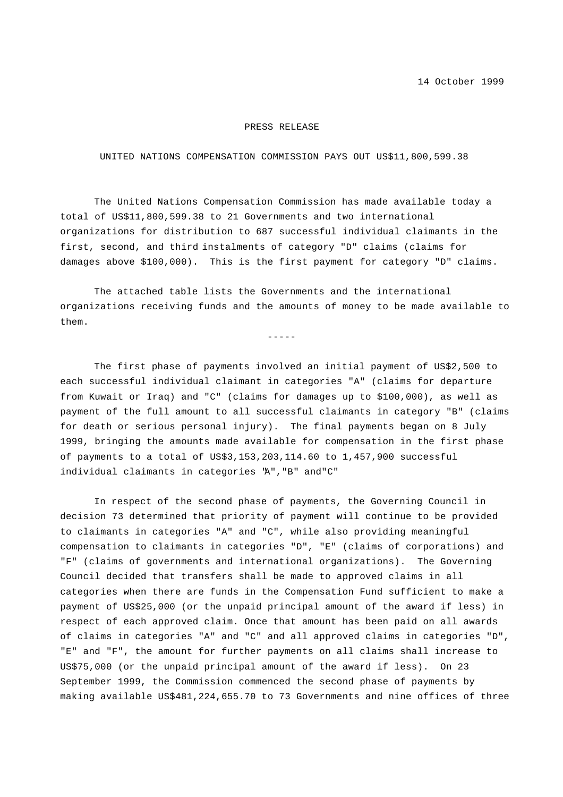14 October 1999

#### PRESS RELEASE

### UNITED NATIONS COMPENSATION COMMISSION PAYS OUT US\$11,800,599.38

The United Nations Compensation Commission has made available today a total of US\$11,800,599.38 to 21 Governments and two international organizations for distribution to 687 successful individual claimants in the first, second, and third instalments of category "D" claims (claims for damages above \$100,000). This is the first payment for category "D" claims.

The attached table lists the Governments and the international organizations receiving funds and the amounts of money to be made available to them.

 $-----$ 

The first phase of payments involved an initial payment of US\$2,500 to each successful individual claimant in categories "A" (claims for departure from Kuwait or Iraq) and "C" (claims for damages up to \$100,000), as well as payment of the full amount to all successful claimants in category "B" (claims for death or serious personal injury). The final payments began on 8 July 1999, bringing the amounts made available for compensation in the first phase of payments to a total of US\$3,153,203,114.60 to 1,457,900 successful individual claimants in categories "A","B" and"C"

In respect of the second phase of payments, the Governing Council in decision 73 determined that priority of payment will continue to be provided to claimants in categories "A" and "C", while also providing meaningful compensation to claimants in categories "D", "E" (claims of corporations) and "F" (claims of governments and international organizations). The Governing Council decided that transfers shall be made to approved claims in all categories when there are funds in the Compensation Fund sufficient to make a payment of US\$25,000 (or the unpaid principal amount of the award if less) in respect of each approved claim. Once that amount has been paid on all awards of claims in categories "A" and "C" and all approved claims in categories "D", "E" and "F", the amount for further payments on all claims shall increase to US\$75,000 (or the unpaid principal amount of the award if less). On 23 September 1999, the Commission commenced the second phase of payments by making available US\$481,224,655.70 to 73 Governments and nine offices of three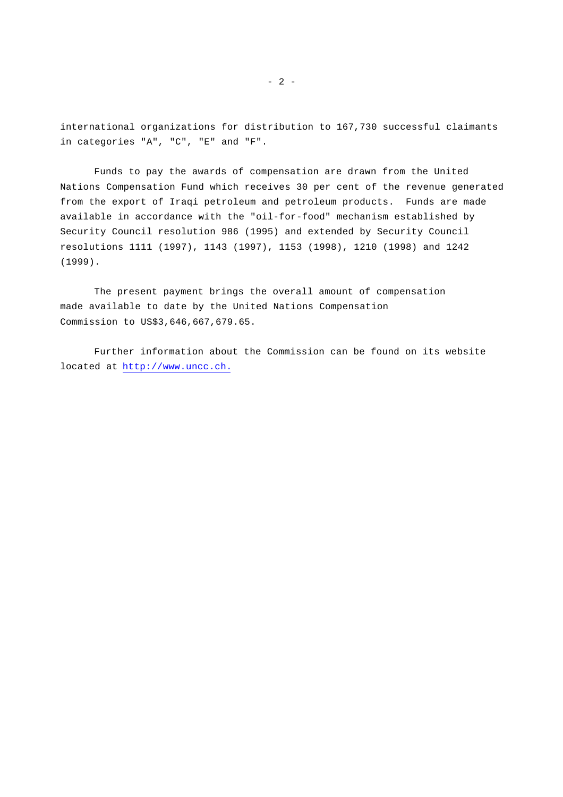international organizations for distribution to 167,730 successful claimants in categories "A", "C", "E" and "F".

Funds to pay the awards of compensation are drawn from the United Nations Compensation Fund which receives 30 per cent of the revenue generated from the export of Iraqi petroleum and petroleum products. Funds are made available in accordance with the "oil-for-food" mechanism established by Security Council resolution 986 (1995) and extended by Security Council resolutions 1111 (1997), 1143 (1997), 1153 (1998), 1210 (1998) and 1242 (1999).

The present payment brings the overall amount of compensation made available to date by the United Nations Compensation Commission to US\$3,646,667,679.65.

Further information about the Commission can be found on its website located at http://www.uncc.ch.